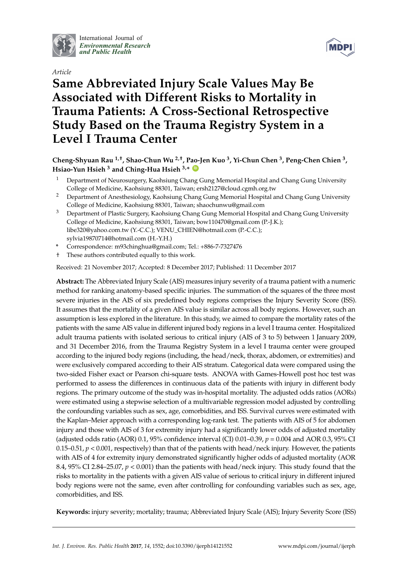

International Journal of *[Environmental Research](http://www.mdpi.com/journal/ijerph) and Public Health*

*Article*



# **Same Abbreviated Injury Scale Values May Be Associated with Different Risks to Mortality in Trauma Patients: A Cross-Sectional Retrospective Study Based on the Trauma Registry System in a Level I Trauma Center**

**Cheng-Shyuan Rau 1,†, Shao-Chun Wu 2,†, Pao-Jen Kuo <sup>3</sup> , Yi-Chun Chen <sup>3</sup> , Peng-Chen Chien <sup>3</sup> , Hsiao-Yun Hsieh <sup>3</sup> and Ching-Hua Hsieh 3,\* [ID](https://orcid.org/0000-0002-0945-2746)**

- <sup>1</sup> Department of Neurosurgery, Kaohsiung Chang Gung Memorial Hospital and Chang Gung University College of Medicine, Kaohsiung 88301, Taiwan; ersh2127@cloud.cgmh.org.tw
- <sup>2</sup> Department of Anesthesiology, Kaohsiung Chang Gung Memorial Hospital and Chang Gung University College of Medicine, Kaohsiung 88301, Taiwan; shaochunwu@gmail.com
- <sup>3</sup> Department of Plastic Surgery, Kaohsiung Chang Gung Memorial Hospital and Chang Gung University College of Medicine, Kaohsiung 88301, Taiwan; bow110470@gmail.com (P.-J.K.); libe320@yahoo.com.tw (Y.-C.C.); VENU\_CHIEN@hotmail.com (P.-C.C.); sylvia19870714@hotmail.com (H.-Y.H.)
- **\*** Correspondence: m93chinghua@gmail.com; Tel.: +886-7-7327476
- † These authors contributed equally to this work.

Received: 21 November 2017; Accepted: 8 December 2017; Published: 11 December 2017

**Abstract:** The Abbreviated Injury Scale (AIS) measures injury severity of a trauma patient with a numeric method for ranking anatomy-based specific injuries. The summation of the squares of the three most severe injuries in the AIS of six predefined body regions comprises the Injury Severity Score (ISS). It assumes that the mortality of a given AIS value is similar across all body regions. However, such an assumption is less explored in the literature. In this study, we aimed to compare the mortality rates of the patients with the same AIS value in different injured body regions in a level I trauma center. Hospitalized adult trauma patients with isolated serious to critical injury (AIS of 3 to 5) between 1 January 2009, and 31 December 2016, from the Trauma Registry System in a level I trauma center were grouped according to the injured body regions (including, the head/neck, thorax, abdomen, or extremities) and were exclusively compared according to their AIS stratum. Categorical data were compared using the two-sided Fisher exact or Pearson chi-square tests. ANOVA with Games-Howell post hoc test was performed to assess the differences in continuous data of the patients with injury in different body regions. The primary outcome of the study was in-hospital mortality. The adjusted odds ratios (AORs) were estimated using a stepwise selection of a multivariable regression model adjusted by controlling the confounding variables such as sex, age, comorbidities, and ISS. Survival curves were estimated with the Kaplan–Meier approach with a corresponding log-rank test. The patients with AIS of 5 for abdomen injury and those with AIS of 3 for extremity injury had a significantly lower odds of adjusted mortality (adjusted odds ratio (AOR) 0.1, 95% confidence interval (CI) 0.01–0.39, *p* = 0.004 and AOR 0.3, 95% CI 0.15–0.51,  $p < 0.001$ , respectively) than that of the patients with head/neck injury. However, the patients with AIS of 4 for extremity injury demonstrated significantly higher odds of adjusted mortality (AOR 8.4, 95% CI 2.84–25.07,  $p < 0.001$ ) than the patients with head/neck injury. This study found that the risks to mortality in the patients with a given AIS value of serious to critical injury in different injured body regions were not the same, even after controlling for confounding variables such as sex, age, comorbidities, and ISS.

**Keywords:** injury severity; mortality; trauma; Abbreviated Injury Scale (AIS); Injury Severity Score (ISS)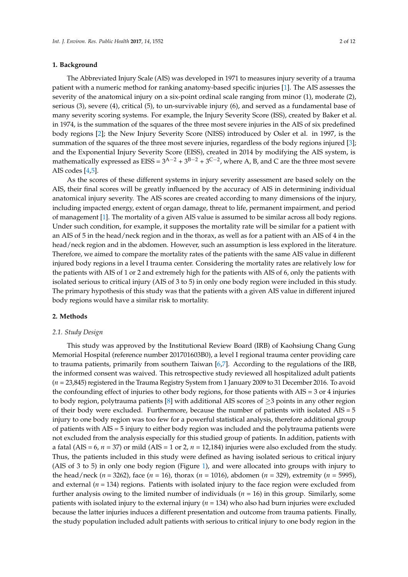# **1. Background**

The Abbreviated Injury Scale (AIS) was developed in 1971 to measures injury severity of a trauma patient with a numeric method for ranking anatomy-based specific injuries [\[1\]](#page-10-0). The AIS assesses the severity of the anatomical injury on a six-point ordinal scale ranging from minor (1), moderate (2), serious (3), severe (4), critical (5), to un-survivable injury (6), and served as a fundamental base of many severity scoring systems. For example, the Injury Severity Score (ISS), created by Baker et al. in 1974, is the summation of the squares of the three most severe injuries in the AIS of six predefined body regions [\[2\]](#page-10-1); the New Injury Severity Score (NISS) introduced by Osler et al. in 1997, is the summation of the squares of the three most severe injuries, regardless of the body regions injured [\[3\]](#page-10-2); and the Exponential Injury Severity Score (EISS), created in 2014 by modifying the AIS system, is mathematically expressed as EISS =  $3^{A-2}$  +  $3^{B-2}$  +  $3^{C-2}$ , where A, B, and C are the three most severe AIS codes [\[4,](#page-10-3)[5\]](#page-10-4).

As the scores of these different systems in injury severity assessment are based solely on the AIS, their final scores will be greatly influenced by the accuracy of AIS in determining individual anatomical injury severity. The AIS scores are created according to many dimensions of the injury, including impacted energy, extent of organ damage, threat to life, permanent impairment, and period of management [\[1\]](#page-10-0). The mortality of a given AIS value is assumed to be similar across all body regions. Under such condition, for example, it supposes the mortality rate will be similar for a patient with an AIS of 5 in the head/neck region and in the thorax, as well as for a patient with an AIS of 4 in the head/neck region and in the abdomen. However, such an assumption is less explored in the literature. Therefore, we aimed to compare the mortality rates of the patients with the same AIS value in different injured body regions in a level I trauma center. Considering the mortality rates are relatively low for the patients with AIS of 1 or 2 and extremely high for the patients with AIS of 6, only the patients with isolated serious to critical injury (AIS of 3 to 5) in only one body region were included in this study. The primary hypothesis of this study was that the patients with a given AIS value in different injured body regions would have a similar risk to mortality.

### **2. Methods**

## *2.1. Study Design*

This study was approved by the Institutional Review Board (IRB) of Kaohsiung Chang Gung Memorial Hospital (reference number 201701603B0), a level I regional trauma center providing care to trauma patients, primarily from southern Taiwan [\[6](#page-10-5)[,7\]](#page-10-6). According to the regulations of the IRB, the informed consent was waived. This retrospective study reviewed all hospitalized adult patients ( $n = 23,845$ ) registered in the Trauma Registry System from 1 January 2009 to 31 December 2016. To avoid the confounding effect of injuries to other body regions, for those patients with AIS = 3 or 4 injuries to body region, polytrauma patients  $[8]$  with additional AIS scores of  $\geq$ 3 points in any other region of their body were excluded. Furthermore, because the number of patients with isolated AIS = 5 injury to one body region was too few for a powerful statistical analysis, therefore additional group of patients with AIS = 5 injury to either body region was included and the polytrauma patients were not excluded from the analysis especially for this studied group of patients. In addition, patients with a fatal (AIS = 6,  $n = 37$ ) or mild (AIS = 1 or 2,  $n = 12,184$ ) injuries were also excluded from the study. Thus, the patients included in this study were defined as having isolated serious to critical injury (AIS of 3 to 5) in only one body region (Figure [1\)](#page-2-0), and were allocated into groups with injury to the head/neck (*n* = 3262), face (*n* = 16), thorax (*n* = 1016), abdomen (*n* = 329), extremity (*n* = 5995), and external  $(n = 134)$  regions. Patients with isolated injury to the face region were excluded from further analysis owing to the limited number of individuals (*n* = 16) in this group. Similarly, some patients with isolated injury to the external injury (*n* = 134) who also had burn injuries were excluded because the latter injuries induces a different presentation and outcome from trauma patients. Finally, the study population included adult patients with serious to critical injury to one body region in the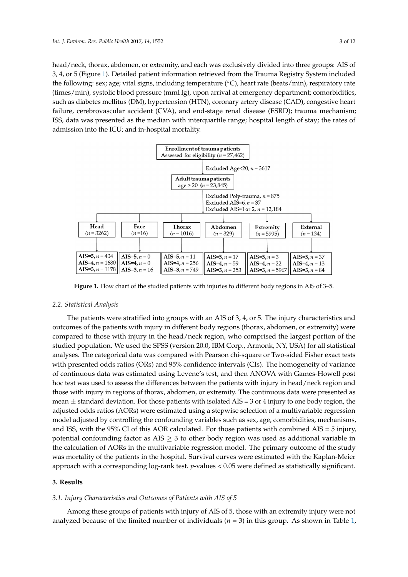head/neck, thorax, abdomen, or extremity, and each was exclusively divided into three groups: AIS of 3, 4, or 5 (Figure 1). Detailed patient information retrieved from the Trauma Registry System incl[ud](#page-2-0)ed the following: sex; age; vital signs, including temperature (°C), heart rate (beats/min), respiratory rate (times/min), systolic blood pressure (mmHg), upon arrival at emergency department; comorbidities, such as diabetes mellitus (DM), hypertension (HTN), coronary artery disease (CAD), congestive heart failure, cerebrovascular accident (CVA), and end-stage renal disease (ESRD); trauma mechanism; ISS, data was presented as the median with interquartile range; hospital length of stay; the rates of admission into the ICU; and in-hospital mortality.

<span id="page-2-0"></span>

**Figure 1.** Flow chart of the studied patients with injuries to different body regions in AIS of 3–5.

### **Figure 1.** Flow chart of the studied patients with injuries to different body regions in AIS of 3–5. *2.2. Statistical Analysis*

The patients were stratified into groups with an AIS of 3, 4, or 5. The injury characteristics and outcomes of the patients with injury in different body regions (thorax, abdomen, or extremity) were compared to those with injury in the head/neck region, who comprised the largest portion of the studied population. We used the SPSS (version 20.0, IBM Corp., Armonk, NY, USA) for all statistical analyses. The categorical data was compared with Pearson chi-square or Two-sided Fisher exact tests with presented odds ratios (ORs) and 95% confidence intervals (CIs). The homogeneity of variance of continuous data was estimated using Levene's test, and then ANOVA with Games-Howell post hoc test was used to assess the differences between the patients with injury in head/neck region and those with injury in regions of thorax, abdomen, or extremity. The continuous data were presented as mean  $\pm$  standard deviation. For those patients with isolated AIS = 3 or 4 injury to one body region, the adjusted odds ratios (AORs) were estimated using a stepwise selection of a multivariable regression model adjusted by controlling the confounding variables such as sex, age, comorbidities, mechanisms, and ISS, with the 95% CI of this AOR calculated. For those patients with combined AIS = 5 injury, potential confounding factor as AIS  $\geq$  3 to other body region was used as additional variable in the calculation of AORs in the multivariable regression model. The primary outcome of the study was mortality of the patients in the hospital. Survival curves were estimated with the Kaplan-Meier approach with a corresponding log-rank test. *p*-values < 0.05 were defined as statistically significant.

### $\mathbf{p}$ **b**<sub>s</sub>  $\mathbf{p}$ <sub>1</sub> were defined as statistically significant. **3. Results**

# **3. Results** *3.1. Injury Characteristics and Outcomes of Patients with AIS of 5*

Among these groups of patients with injury of AIS of 5, those with an extremity injury were not analyzed because of the limited number of individuals ( $n = 3$ ) in this group. As shown in Table [1,](#page-3-0)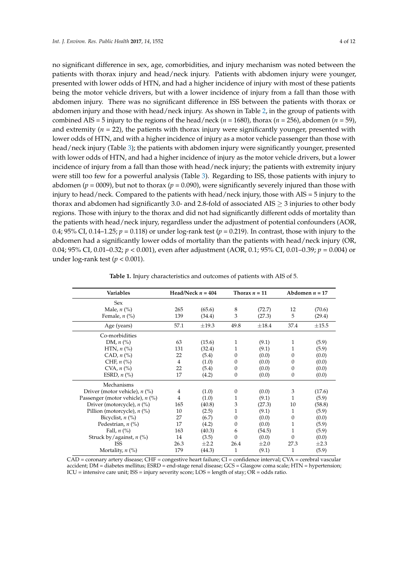no significant difference in sex, age, comorbidities, and injury mechanism was noted between the patients with thorax injury and head/neck injury. Patients with abdomen injury were younger, presented with lower odds of HTN, and had a higher incidence of injury with most of these patients being the motor vehicle drivers, but with a lower incidence of injury from a fall than those with abdomen injury. There was no significant difference in ISS between the patients with thorax or abdomen injury and those with head/neck injury. As shown in Table [2,](#page-4-0) in the group of patients with combined AIS = 5 injury to the regions of the head/neck (*n* = 1680), thorax (*n* = 256), abdomen (*n* = 59), and extremity  $(n = 22)$ , the patients with thorax injury were significantly younger, presented with lower odds of HTN, and with a higher incidence of injury as a motor vehicle passenger than those with head/neck injury (Table [3\)](#page-5-0); the patients with abdomen injury were significantly younger, presented with lower odds of HTN, and had a higher incidence of injury as the motor vehicle drivers, but a lower incidence of injury from a fall than those with head/neck injury; the patients with extremity injury were still too few for a powerful analysis (Table [3\)](#page-5-0). Regarding to ISS, those patients with injury to abdomen ( $p = 0009$ ), but not to thorax ( $p = 0.090$ ), were significantly severely injured than those with injury to head/neck. Compared to the patients with head/neck injury, those with AIS = 5 injury to the thorax and abdomen had significantly 3.0- and 2.8-fold of associated AIS  $\geq$  3 injuries to other body regions. Those with injury to the thorax and did not had significantly different odds of mortality than the patients with head/neck injury, regardless under the adjustment of potential confounders (AOR, 0.4; 95% CI, 0.14–1.25; *p* = 0.118) or under log-rank test (*p* = 0.219). In contrast, those with injury to the abdomen had a significantly lower odds of mortality than the patients with head/neck injury (OR, 0.04; 95% CI, 0.01–0.32; *p* < 0.001), even after adjustment (AOR, 0.1; 95% CI, 0.01–0.39; *p* = 0.004) or under log-rank test (*p* < 0.001).

<span id="page-3-0"></span>

| Variables                            |                | Head/Neck $n = 404$ |                  | Thorax $n = 11$ | Abdomen $n = 17$ |            |  |
|--------------------------------------|----------------|---------------------|------------------|-----------------|------------------|------------|--|
| Sex                                  |                |                     |                  |                 |                  |            |  |
| Male, $n$ (%)                        | 265            | (65.6)              | 8                | (72.7)          | 12               | (70.6)     |  |
| Female, $n$ (%)                      | 139            | (34.4)              | 3                | (27.3)          | 5                | (29.4)     |  |
| Age (years)                          | 57.1           | $\pm$ 19.3          | 49.8             | $\pm 18.4$      | 37.4             | $\pm 15.5$ |  |
| Co-morbidities                       |                |                     |                  |                 |                  |            |  |
| DM, $n$ $\left(\% \right)$           | 63             | (15.6)              | 1                | (9.1)           | 1                | (5.9)      |  |
| HTN, $n$ (%)                         | 131            | (32.4)              | 1                | (9.1)           | 1                | (5.9)      |  |
| CAD, $n$ (%)                         | 22             | (5.4)               | $\Omega$         | (0.0)           | $\Omega$         | (0.0)      |  |
| CHF, $n$ (%)                         | $\overline{4}$ | (1.0)               | 0                | (0.0)           | 0                | (0.0)      |  |
| CVA, n (%)                           | 22             | (5.4)               | $\theta$         | (0.0)           | $\theta$         | (0.0)      |  |
| ESRD, $n$ $\left(\frac{9}{6}\right)$ | 17             | (4.2)               | $\theta$         | (0.0)           | $\mathbf{0}$     | (0.0)      |  |
| Mechanisms                           |                |                     |                  |                 |                  |            |  |
| Driver (motor vehicle), $n$ (%)      | 4              | (1.0)               | $\theta$         | (0.0)           | 3                | (17.6)     |  |
| Passenger (motor vehicle), $n$ (%)   | $\overline{4}$ | (1.0)               | 1                | (9.1)           | 1                | (5.9)      |  |
| Driver (motorcycle), $n$ (%)         | 165            | (40.8)              | 3                | (27.3)          | 10               | (58.8)     |  |
| Pillion (motorcycle), $n$ (%)        | 10             | (2.5)               | 1                | (9.1)           | 1                | (5.9)      |  |
| Bicyclist, $n$ (%)                   | 27             | (6.7)               | $\theta$         | (0.0)           | $\theta$         | (0.0)      |  |
| Pedestrian, $n$ (%)                  | 17             | (4.2)               | $\boldsymbol{0}$ | (0.0)           | 1                | (5.9)      |  |
| Fall, $n$ (%)                        | 163            | (40.3)              | 6                | (54.5)          | 1                | (5.9)      |  |
| Struck by/against, n (%)             | 14             | (3.5)               | $\mathbf{0}$     | (0.0)           | $\mathbf{0}$     | (0.0)      |  |
| <b>ISS</b>                           | 26.3           | $\pm 2.2$           | 26.4             | $\pm 2.0$       | 27.3             | $\pm 2.3$  |  |
| Mortality, n (%)                     | 179            | (44.3)              | 1                | (9.1)           | 1                | (5.9)      |  |

**Table 1.** Injury characteristics and outcomes of patients with AIS of 5.

CAD = coronary artery disease; CHF = congestive heart failure; CI = confidence interval; CVA = cerebral vascular accident; DM = diabetes mellitus; ESRD = end-stage renal disease; GCS = Glasgow coma scale; HTN = hypertension;  $ICU =$  intensive care unit; ISS = injury severity score; LOS = length of stay; OR = odds ratio.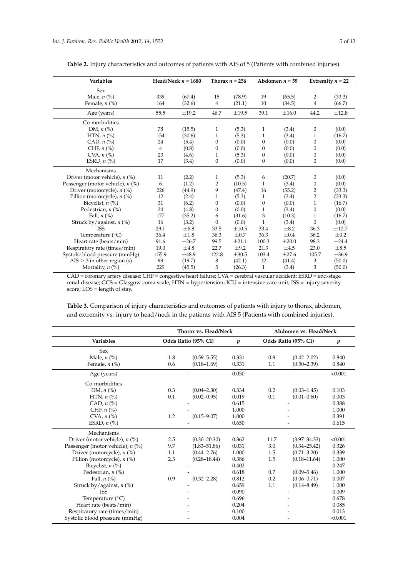| <b>Variables</b>                     | Head/Neck $n = 1680$ |            |                | Thorax $n = 256$ |                  | Abdomen $n = 59$ |                  | Extremity $n = 22$ |  |
|--------------------------------------|----------------------|------------|----------------|------------------|------------------|------------------|------------------|--------------------|--|
| <b>Sex</b>                           |                      |            |                |                  |                  |                  |                  |                    |  |
| Male, $n$ $\left(\frac{9}{6}\right)$ | 339                  | (67.4)     | 15             | (78.9)           | 19               | (65.5)           | 2                | (33.3)             |  |
| Female, $n$ (%)                      | 164                  | (32.6)     | $\overline{4}$ | (21.1)           | 10               | (34.5)           | 4                | (66.7)             |  |
| Age (years)                          | 55.5                 | $\pm$ 19.2 | 46.7           | $\pm$ 19.5       | 39.1             | $\pm 16.0$       | 44.2             | $\pm 12.8$         |  |
| Co-morbidities                       |                      |            |                |                  |                  |                  |                  |                    |  |
| DM, $n$ $\left(\% \right)$           | 78                   | (15.5)     | $\mathbf{1}$   | (5.3)            | $\mathbf{1}$     | (3.4)            | 0                | (0.0)              |  |
| HTN, $n$ (%)                         | 154                  | (30.6)     | 1              | (5.3)            | 1                | (3.4)            | 1                | (16.7)             |  |
| CAD, $n$ $\left(\% \right)$          | 24                   | (5.4)      | $\mathbf{0}$   | (0.0)            | $\theta$         | (0.0)            | $\mathbf{0}$     | (0.0)              |  |
| CHF, $n$ (%)                         | $\overline{4}$       | (0.8)      | $\mathbf{0}$   | (0.0)            | $\mathbf{0}$     | (0.0)            | $\mathbf{0}$     | (0.0)              |  |
| CVA, n (%)                           | 23                   | (4.6)      | $\mathbf{1}$   | (5.3)            | $\boldsymbol{0}$ | (0.0)            | $\Omega$         | (0.0)              |  |
| ESRD, $n$ (%)                        | 17                   | (3.4)      | $\mathbf{0}$   | (0.0)            | $\boldsymbol{0}$ | (0.0)            | $\Omega$         | (0.0)              |  |
| Mechanisms                           |                      |            |                |                  |                  |                  |                  |                    |  |
| Driver (motor vehicle), $n$ (%)      | 11                   | (2.2)      | $\mathbf{1}$   | (5.3)            | 6                | (20.7)           | $\boldsymbol{0}$ | (0.0)              |  |
| Passenger (motor vehicle), $n$ (%)   | 6                    | (1.2)      | 2              | (10.5)           | $\mathbf{1}$     | (3.4)            | $\mathbf{0}$     | (0.0)              |  |
| Driver (motorcycle), $n$ (%)         | 226                  | (44.9)     | 9              | (47.4)           | 16               | (55.2)           | 2                | (33.3)             |  |
| Pillion (motorcycle), $n$ (%)        | 12                   | (2.4)      | 1              | (5.3)            | $\mathbf{1}$     | (3.4)            | 2                | (33.3)             |  |
| Bicyclist, $n$ (%)                   | 31                   | (6.2)      | $\mathbf{0}$   | (0.0)            | $\boldsymbol{0}$ | (0.0)            | $\mathbf{1}$     | (16.7)             |  |
| Pedestrian, $n$ (%)                  | 24                   | (4.8)      | $\mathbf{0}$   | (0.0)            | $\mathbf{1}$     | (3.4)            | $\boldsymbol{0}$ | (0.0)              |  |
| Fall, $n$ $\left(\% \right)$         | 177                  | (35.2)     | 6              | (31.6)           | 3                | (10.3)           | $\mathbf{1}$     | (16.7)             |  |
| Struck by/against, n (%)             | 16                   | (3.2)      | $\Omega$       | (0.0)            | $\mathbf{1}$     | (3.4)            | $\Omega$         | (0.0)              |  |
| <b>ISS</b>                           | 29.1                 | $\pm 6.8$  | 33.5           | $\pm 10.5$       | 33.4             | $\pm 8.2$        | 36.3             | $\pm 12.7$         |  |
| Temperature $(^{\circ}C)$            | 36.4                 | $\pm 1.8$  | 36.3           | $\pm 0.7$        | 36.3             | $\pm 0.4$        | 36.2             | $\pm 0.2$          |  |
| Heart rate (beats/min)               | 91.6                 | $\pm 26.7$ | 99.5           | $\pm 21.1$       | 100.3            | $\pm 20.0$       | 98.3             | $\pm 24.4$         |  |
| Respiratory rate (times/min)         | 19.0                 | $\pm 4.8$  | 22.7           | $\pm 9.2$        | 21.3             | $\pm 4.5$        | 23.0             | $\pm 8.5$          |  |
| Systolic blood pressure (mmHg)       | 155.9                | $\pm 48.9$ | 122.8          | $\pm 30.5$       | 103.4            | $\pm 27.6$       | 105.7            | $\pm 36.9$         |  |
| AIS $\geq$ 3 in other region (s)     | 99                   | (19.7)     | 8              | (42.1)           | 12               | (41.4)           | 3                | (50.0)             |  |
| Mortality, $n$ (%)                   | 229                  | (45.5)     | 5              | (26.3)           | $\mathbf{1}$     | (3.4)            | 3                | (50.0)             |  |

<span id="page-4-0"></span>**Table 2.** Injury characteristics and outcomes of patients with AIS of 5 (Patients with combined injuries).

CAD = coronary artery disease; CHF = congestive heart failure; CVA = cerebral vascular accident; ESRD = end-stage renal disease; GCS = Glasgow coma scale; HTN = hypertension; ICU = intensive care unit; ISS = injury severity score; LOS = length of stay.

**Table 3.** Comparison of injury characteristics and outcomes of patients with injury to thorax, abdomen, and extremity vs. injury to head/neck in the patients with AIS 5 (Patients with combined injuries).

|                                        |                        | Thorax vs. Head/Neck |                  | Abdomen vs. Head/Neck |                     |         |  |
|----------------------------------------|------------------------|----------------------|------------------|-----------------------|---------------------|---------|--|
| <b>Variables</b>                       |                        | Odds Ratio (95% CI)  | $\boldsymbol{p}$ |                       | Odds Ratio (95% CI) |         |  |
| <b>Sex</b>                             |                        |                      |                  |                       |                     |         |  |
| Male, $n$ (%)                          | 1.8                    | $(0.59 - 5.55)$      | 0.331            | 0.9                   | $(0.42 - 2.02)$     | 0.840   |  |
| Female, $n$ $\left(\frac{9}{6}\right)$ | 0.6                    | $(0.18 - 1.69)$      | 0.331            | 1.1                   | $(0.50 - 2.39)$     | 0.840   |  |
| Age (years)                            |                        |                      | 0.050            |                       |                     | < 0.001 |  |
| Co-morbidities                         |                        |                      |                  |                       |                     |         |  |
| DM, $n$ $\left(\frac{9}{6}\right)$     | 0.3                    | $(0.04 - 2.30)$      | 0.334            | 0.2                   | $(0.03 - 1.45)$     | 0.103   |  |
| HTN, $n$ (%)                           | 0.1                    | $(0.02 - 0.95)$      | 0.019            | 0.1                   | $(0.01 - 0.60)$     | 0.003   |  |
| CAD, $n$ $\left(\% \right)$            |                        |                      | 0.615            |                       |                     | 0.388   |  |
| CHF, $n$ (%)                           |                        |                      | 1.000            |                       |                     |         |  |
| CVA, n (%)                             | $(0.15 - 9.07)$<br>1.2 |                      | 1.000            |                       |                     |         |  |
| ESRD, $n$ (%)                          |                        |                      | 0.650            |                       |                     |         |  |
| Mechanisms                             |                        |                      |                  |                       |                     |         |  |
| Driver (motor vehicle), $n$ (%)        | 2.5                    | $(0.30 - 20.30)$     | 0.362            | 11.7                  | $(3.97 - 34.33)$    | < 0.001 |  |
| Passenger (motor vehicle), $n$ (%)     | 9.7                    | $(1.83 - 51.86)$     | 0.031            | 3.0                   | $(0.34 - 25.42)$    | 0.326   |  |
| Driver (motorcycle), $n$ (%)           | 1.1                    | $(0.44 - 2.76)$      | 1.000            | 1.5                   | $(0.71 - 3.20)$     | 0.339   |  |
| Pillion (motorcycle), $n$ (%)          | 2.3                    | $(0.28 - 18.44)$     | 0.386            | 1.5                   | $(0.18 - 11.64)$    | 1.000   |  |
| Bicyclist, $n$ (%)                     |                        |                      | 0.402            |                       |                     | 0.247   |  |
| Pedestrian, n (%)                      |                        |                      | 0.618            | 0.7                   | $(0.09 - 5.46)$     | 1.000   |  |
| Fall, $n$ $\left(\frac{9}{6}\right)$   | 0.9                    | $(0.32 - 2.28)$      | 0.812            | 0.2                   | $(0.06 - 0.71)$     | 0.007   |  |
| Struck by/against, $n$ (%)             |                        |                      | 0.659            | 1.1                   | $(0.14 - 8.49)$     | 1.000   |  |
| <b>ISS</b>                             |                        |                      | 0.090            |                       |                     | 0.009   |  |
| Temperature $(^{\circ}C)$              |                        |                      | 0.696            |                       |                     | 0.678   |  |
| Heart rate (beats/min)                 |                        |                      | 0.204            |                       |                     | 0.085   |  |
| Respiratory rate (times/min)           |                        |                      | 0.100            |                       |                     | 0.013   |  |
| Systolic blood pressure (mmHg)         |                        |                      | 0.004            |                       |                     | < 0.001 |  |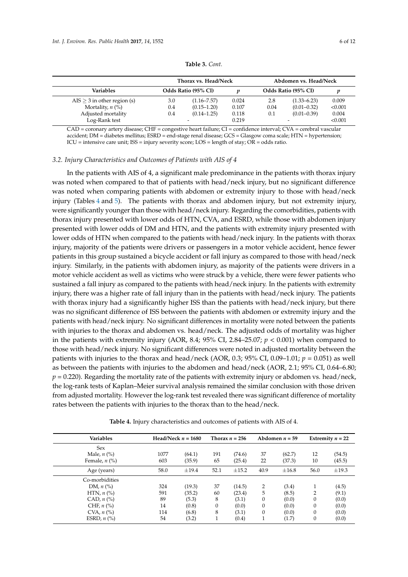<span id="page-5-0"></span>

|                               |                     | Thorax vs. Head/Neck |       |                     | Abdomen vs. Head/Neck |         |
|-------------------------------|---------------------|----------------------|-------|---------------------|-----------------------|---------|
| Variables                     | Odds Ratio (95% CI) |                      | v     | Odds Ratio (95% CI) |                       | v       |
| $AIS > 3$ in other region (s) | 3.0                 | $(1.16 - 7.57)$      | 0.024 | 2.8                 | $(1.33 - 6.23)$       | 0.009   |
| Mortality, $n$ (%)            | 0.4                 | $(0.15 - 1.20)$      | 0.107 | 0.04                | $(0.01 - 0.32)$       | < 0.001 |
| Adjusted mortality            | 0.4                 | $(0.14 - 1.25)$      | 0.118 | 0.1                 | $(0.01 - 0.39)$       | 0.004   |
| Log-Rank test                 |                     | -                    | 0.219 |                     | -                     | < 0.001 |

**Table 3.** *Cont.*

CAD = coronary artery disease; CHF = congestive heart failure; CI = confidence interval; CVA = cerebral vascular accident; DM = diabetes mellitus; ESRD = end-stage renal disease; GCS = Glasgow coma scale; HTN = hypertension;  $ICU =$  intensive care unit;  $ISS =$  injury severity score;  $LOS =$  length of stay;  $OR =$  odds ratio.

### *3.2. Injury Characteristics and Outcomes of Patients with AIS of 4*

In the patients with AIS of 4, a significant male predominance in the patients with thorax injury was noted when compared to that of patients with head/neck injury, but no significant difference was noted when comparing patients with abdomen or extremity injury to those with head/neck injury (Tables [4](#page-6-0) and [5\)](#page-6-1). The patients with thorax and abdomen injury, but not extremity injury, were significantly younger than those with head/neck injury. Regarding the comorbidities, patients with thorax injury presented with lower odds of HTN, CVA, and ESRD, while those with abdomen injury presented with lower odds of DM and HTN, and the patients with extremity injury presented with lower odds of HTN when compared to the patients with head/neck injury. In the patients with thorax injury, majority of the patients were drivers or passengers in a motor vehicle accident, hence fewer patients in this group sustained a bicycle accident or fall injury as compared to those with head/neck injury. Similarly, in the patients with abdomen injury, as majority of the patients were drivers in a motor vehicle accident as well as victims who were struck by a vehicle, there were fewer patients who sustained a fall injury as compared to the patients with head/neck injury. In the patients with extremity injury, there was a higher rate of fall injury than in the patients with head/neck injury. The patients with thorax injury had a significantly higher ISS than the patients with head/neck injury, but there was no significant difference of ISS between the patients with abdomen or extremity injury and the patients with head/neck injury. No significant differences in mortality were noted between the patients with injuries to the thorax and abdomen vs. head/neck. The adjusted odds of mortality was higher in the patients with extremity injury (AOR, 8.4; 95% CI, 2.84–25.07;  $p < 0.001$ ) when compared to those with head/neck injury. No significant differences were noted in adjusted mortality between the patients with injuries to the thorax and head/neck (AOR, 0.3; 95% CI, 0.09–1.01;  $p = 0.051$ ) as well as between the patients with injuries to the abdomen and head/neck (AOR, 2.1; 95% CI, 0.64–6.80;  $p = 0.220$ ). Regarding the mortality rate of the patients with extremity injury or abdomen vs. head/neck, the log-rank tests of Kaplan–Meier survival analysis remained the similar conclusion with those driven from adjusted mortality. However the log-rank test revealed there was significant difference of mortality rates between the patients with injuries to the thorax than to the head/neck.

| <b>Variables</b>                       |      | Head/Neck $n = 1680$ |              | Thorax $n = 256$ |                | Abdomen $n = 59$ | Extremity $n = 22$ |            |
|----------------------------------------|------|----------------------|--------------|------------------|----------------|------------------|--------------------|------------|
| <b>Sex</b>                             |      |                      |              |                  |                |                  |                    |            |
| Male, $n$ $\left(\% \right)$           | 1077 | (64.1)               | 191          | (74.6)           | 37             | (62.7)           | 12                 | (54.5)     |
| Female, $n$ $\left(\frac{9}{6}\right)$ | 603  | (35.9)               | 65           | (25.4)           | 22             | (37.3)           | 10                 | (45.5)     |
| Age (years)                            | 58.0 | $\pm 19.4$           | 52.1         | $\pm 15.2$       | 40.9           | $\pm 16.8$       | 56.0               | $\pm$ 19.3 |
| Co-morbidities                         |      |                      |              |                  |                |                  |                    |            |
| DM, $n$ $\left(\% \right)$             | 324  | (19.3)               | 37           | (14.5)           | $\overline{2}$ | (3.4)            |                    | (4.5)      |
| HTN, $n$ (%)                           | 591  | (35.2)               | 60           | (23.4)           | 5              | (8.5)            | $\overline{2}$     | (9.1)      |
| CAD, $n$ (%)                           | 89   | (5.3)                | 8            | (3.1)            | $\theta$       | (0.0)            | $\Omega$           | (0.0)      |
| CHF, $n$ (%)                           | 14   | (0.8)                | $\mathbf{0}$ | (0.0)            | $\theta$       | (0.0)            | $\Omega$           | (0.0)      |
| CVA, n (%)                             | 114  | (6.8)                | 8            | (3.1)            | $\theta$       | (0.0)            | $\Omega$           | (0.0)      |
| ESRD, $n$ $\left(\% \right)$           | 54   | (3.2)                |              | (0.4)            | 1              | (1.7)            | $\mathbf{0}$       | (0.0)      |

**Table 4.** Injury characteristics and outcomes of patients with AIS of 4.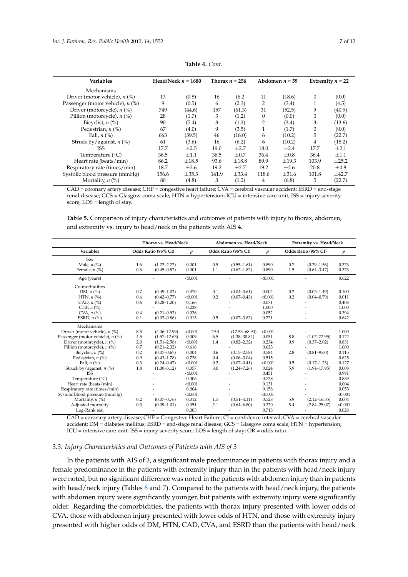<span id="page-6-0"></span>

| <b>Variables</b>                   |       | Head/Neck $n = 1680$ |       | Thorax $n = 256$ |                | Abdomen $n = 59$ |              | Extremity $n = 22$ |  |
|------------------------------------|-------|----------------------|-------|------------------|----------------|------------------|--------------|--------------------|--|
| Mechanisms                         |       |                      |       |                  |                |                  |              |                    |  |
| Driver (motor vehicle), $n$ (%)    | 13    | (0.8)                | 16    | (6.2)            | 11             | (18.6)           | $\mathbf{0}$ | (0.0)              |  |
| Passenger (motor vehicle), $n$ (%) | 9     | (0.5)                | 6     | (2.3)            | $\overline{2}$ | (3.4)            |              | (4.5)              |  |
| Driver (motorcycle), $n$ (%)       | 749   | (44.6)               | 157   | (61.3)           | 31             | (52.5)           | 9            | (40.9)             |  |
| Pillion (motorcycle), $n$ (%)      | 28    | (1.7)                | 3     | (1.2)            | $\theta$       | (0.0)            | 0            | (0.0)              |  |
| Bicyclist, $n$ $\left(\% \right)$  | 90    | (5.4)                | 3     | (1.2)            | $\overline{2}$ | (3.4)            | 3            | (13.6)             |  |
| Pedestrian, $n$ (%)                | 67    | (4.0)                | 9     | (3.5)            | 1              | (1.7)            | 0            | (0.0)              |  |
| Fall, $n$ $\left(\% \right)$       | 663   | (39.5)               | 46    | (18.0)           | 6              | (10.2)           | 5            | (22.7)             |  |
| Struck by/against, $n$ (%)         | 61    | (3.6)                | 16    | (6.2)            | 6              | (10.2)           | 4            | (18.2)             |  |
| <b>ISS</b>                         | 17.7  | $\pm 2.5$            | 19.0  | $\pm 2.7$        | 18.0           | $+2.4$           | 17.7         | $+2.1$             |  |
| Temperature $(^{\circ}C)$          | 36.5  | $\pm 1.1$            | 36.5  | $\pm 0.7$        | 36.4           | $\pm 0.8$        | 36.4         | $\pm 1.1$          |  |
| Heart rate (beats/min)             | 86.2  | $\pm 18.5$           | 93.6  | $\pm 18.8$       | 89.9           | $\pm$ 19.3       | 103.9        | $\pm 25.2$         |  |
| Respiratory rate (times/min)       | 18.7  | $\pm 2.6$            | 19.2  | $\pm 2.7$        | 19.2           | $\pm 2.6$        | 20.8         | $\pm 4.8$          |  |
| Systolic blood pressure (mmHg)     | 156.6 | $\pm$ 35.3           | 141.9 | $\pm$ 33.4       | 118.6          | $\pm$ 31.6       | 101.8        | $\pm 42.7$         |  |
| Mortality, $n$ (%)                 | 80    | (4.8)                | 3     | (1.2)            | 4              | (6.8)            | 5            | (22.7)             |  |

**Table 4.** *Cont.*

CAD = coronary artery disease; CHF = congestive heart failure; CVA = cerebral vascular accident; ESRD = end-stage renal disease; GCS = Glasgow coma scale; HTN = hypertension; ICU = intensive care unit; ISS = injury severity score;  $LOS = length of stay$ .

<span id="page-6-1"></span>**Table 5.** Comparison of injury characteristics and outcomes of patients with injury to thorax, abdomen, and extremity vs. injury to head/neck in the patients with AIS 4.

|                                        | Thorax vs. Head/Neck |                     |                  |      | Abdomen vs. Head/Neck |                  | <b>Extremity vs. Head/Neck</b> |                     |                  |
|----------------------------------------|----------------------|---------------------|------------------|------|-----------------------|------------------|--------------------------------|---------------------|------------------|
| <b>Variables</b>                       |                      | Odds Ratio (95% CI) | $\boldsymbol{p}$ |      | Odds Ratio (95% CI)   | $\boldsymbol{p}$ |                                | Odds Ratio (95% CI) | $\boldsymbol{p}$ |
| Sex                                    |                      |                     |                  |      |                       |                  |                                |                     |                  |
| Male, $n$ (%)                          | 1.6                  | $(1.22 - 2.22)$     | 0.001            | 0.9  | $(0.55 - 1.61)$       | 0.890            | 0.7                            | $(0.29 - 1.56)$     | 0.376            |
| Female, $n$ $(\%)$                     | 0.6                  | $(0.45 - 0.82)$     | 0.001            | 1.1  | $(0.62 - 1.82)$       | 0.890            | 1.5                            | $(0.64 - 3.47)$     | 0.376            |
| Age (years)                            |                      |                     | < 0.001          |      |                       | < 0.001          |                                |                     | 0.622            |
| Co-morbidities                         |                      |                     |                  |      |                       |                  |                                |                     |                  |
| DM, $n$ $\left(\frac{\%}{\%}\right)$   | 0.7                  | $(0.49 - 1.02)$     | 0.070            | 0.1  | $(0.04 - 0.61)$       | 0.002            | 0.2                            | $(0.03 - 1.49)$     | 0.100            |
| HTN, $n$ $\left(\% \right)$            | 0.6                  | $(0.42 - 0.77)$     | < 0.001          | 0.2  | $(0.07 - 0.43)$       | < 0.001          | 0.2                            | $(0.04 - 0.79)$     | 0.011            |
| CAD, $n$ $%$                           | 0.6                  | $(0.28 - 1.20)$     | 0.166            |      |                       | 0.071            |                                |                     | 0.408            |
| CHF, $n$ (%)                           |                      |                     | 0.238            |      |                       | 1.000            |                                |                     | 1.000            |
| $CVA$ , $n$ $\left(\frac{9}{6}\right)$ | 0.4                  | $(0.21 - 0.92)$     | 0.026            |      |                       | 0.052            |                                |                     | 0.394            |
| ESRD, $n$ $\left(\% \right)$           | 0.1                  | $(0.02 - 0.86)$     | 0.013            | 0.5  | $(0.07 - 3.82)$       | 0.721            |                                |                     | 0.642            |
| Mechanisms                             |                      |                     |                  |      |                       |                  |                                |                     |                  |
| Driver (motor vehicle), $n$ (%)        | 8.5                  | $(4.06 - 17.99)$    | < 0.001          | 29.4 | $(12.53 - 68.94)$     | < 0.001          |                                |                     | 1.000            |
| Passenger (motor vehicle), $n$ (%)     | 4.5                  | $(1.57 - 12.63)$    | 0.009            | 6.5  | $(1.38 - 30.84)$      | 0.051            | 8.8                            | $(1.07 - 72.95)$    | 0.122            |
| Driver (motorcycle), n (%)             | 2.0                  | $(1.51 - 2.58)$     | < 0.001          | 1.4  | $(0.82 - 2.32)$       | 0.234            | 0.9                            | $(0.37 - 2.02)$     | 0.831            |
| Pillion (motorcycle), $n$ (%)          | 0.7                  | $(0.21 - 2.32)$     | 0.616            |      |                       | 0.623            |                                |                     | 1.000            |
| Bicyclist, $n$ (%)                     | 0.2                  | $(0.07 - 0.67)$     | 0.004            | 0.6  | $(0.15 - 2.58)$       | 0.584            | 2.8                            | $(0.81 - 9.60)$     | 0.115            |
| Pedestrian, $n$ (%)                    | 0.9                  | $(0.43 - 1.78)$     | 0.738            | 0.4  | $(0.06 - 3.04)$       | 0.515            |                                |                     | 0.625            |
| Fall, $n$ $\left(\% \right)$           | 0.3                  | $(0.24 - 0.47)$     | < 0.001          | 0.2  | $(0.07 - 0.41)$       | < 0.001          | 0.5                            | $(0.17 - 1.23)$     | 0.127            |
| Struck by/against, $n$ (%)             | 1.8                  | $(1.00 - 3.12)$     | 0.057            | 3.0  | $(1.24 - 7.26)$       | 0.024            | 5.9                            | $(1.94 - 17.95)$    | 0.008            |
| <b>ISS</b>                             |                      |                     | < 0.001          |      |                       | 0.451            |                                |                     | 0.991            |
| Temperature $(^{\circ}C)$              |                      |                     | 0.306            |      |                       | 0.728            |                                |                     | 0.839            |
| Heart rate (beats/min)                 |                      |                     | < 0.001          |      |                       | 0.131            |                                |                     | 0.004            |
| Respiratory rate (times/min)           |                      |                     | 0.004            |      |                       | 0.158            |                                |                     | 0.053            |
| Systolic blood pressure (mmHg)         |                      |                     | < 0.001          |      |                       | < 0.001          |                                |                     | < 0.001          |
| Mortality, $n$ (%)                     | 0.2                  | $(0.07 - 0.76)$     | 0.012            | 1.5  | $(0.51 - 4.11)$       | 0.528            | 5.9                            | $(2.12 - 16.35)$    | 0.004            |
| Adjusted mortality                     | 0.3                  | $(0.09 - 1.01)$     | 0.051            | 2.1  | $(0.64 - 6.80)$       | 0.220            | 8.4                            | $(2.84 - 25.07)$    | < 0.001          |
| Log-Rank test                          |                      |                     | 0.003            |      |                       | 0.713            |                                |                     | 0.028            |

CAD = coronary artery disease; CHF = Congestive Heart Failure; CI = confidence interval; CVA = cerebral vascular accident; DM = diabetes mellitus; ESRD = end-stage renal disease; GCS = Glasgow coma scale; HTN = hypertension; ICU = intensive care unit; ISS = injury severity score; LOS = length of stay;  $\overrightarrow{OR}$  = odds ratio.

# *3.3. Injury Characteristics and Outcomes of Patients with AIS of 3*

In the patients with AIS of 3, a significant male predominance in patients with thorax injury and a female predominance in the patients with extremity injury than in the patients with head/neck injury were noted, but no significant difference was noted in the patients with abdomen injury than in patients with head/neck injury (Tables [6](#page-7-0) and [7\)](#page-8-0). Compared to the patients with head/neck injury, the patients with abdomen injury were significantly younger, but patients with extremity injury were significantly older. Regarding the comorbidities, the patients with thorax injury presented with lower odds of CVA, those with abdomen injury presented with lower odds of HTN, and those with extremity injury presented with higher odds of DM, HTN, CAD, CVA, and ESRD than the patients with head/neck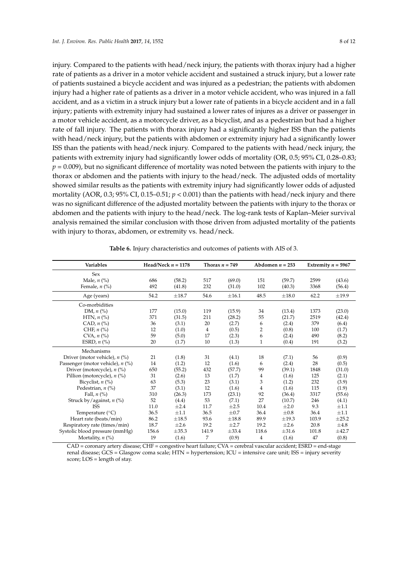injury. Compared to the patients with head/neck injury, the patients with thorax injury had a higher rate of patients as a driver in a motor vehicle accident and sustained a struck injury, but a lower rate of patients sustained a bicycle accident and was injured as a pedestrian; the patients with abdomen injury had a higher rate of patients as a driver in a motor vehicle accident, who was injured in a fall accident, and as a victim in a struck injury but a lower rate of patients in a bicycle accident and in a fall injury; patients with extremity injury had sustained a lower rates of injures as a driver or passenger in a motor vehicle accident, as a motorcycle driver, as a bicyclist, and as a pedestrian but had a higher rate of fall injury. The patients with thorax injury had a significantly higher ISS than the patients with head/neck injury, but the patients with abdomen or extremity injury had a significantly lower ISS than the patients with head/neck injury. Compared to the patients with head/neck injury, the patients with extremity injury had significantly lower odds of mortality (OR, 0.5; 95% CI, 0.28–0.83; *p* = 0.009), but no significant difference of mortality was noted between the patients with injury to the thorax or abdomen and the patients with injury to the head/neck. The adjusted odds of mortality showed similar results as the patients with extremity injury had significantly lower odds of adjusted mortality (AOR, 0.3; 95% CI, 0.15–0.51;  $p < 0.001$ ) than the patients with head/neck injury and there was no significant difference of the adjusted mortality between the patients with injury to the thorax or abdomen and the patients with injury to the head/neck. The log-rank tests of Kaplan–Meier survival analysis remained the similar conclusion with those driven from adjusted mortality of the patients with injury to thorax, abdomen, or extremity vs. head/neck.

<span id="page-7-0"></span>

| <b>Variables</b>                   | Head/Neck $n = 1178$ |            |       | Thorax $n = 749$ |                | Abdomen $n = 253$ |       | Extremity $n = 5967$ |  |
|------------------------------------|----------------------|------------|-------|------------------|----------------|-------------------|-------|----------------------|--|
| Sex                                |                      |            |       |                  |                |                   |       |                      |  |
| Male, $n$ (%)                      | 686                  | (58.2)     | 517   | (69.0)           | 151            | (59.7)            | 2599  | (43.6)               |  |
| Female, $n$ (%)                    | 492                  | (41.8)     | 232   | (31.0)           | 102            | (40.3)            | 3368  | (56.4)               |  |
| Age (years)                        | 54.2                 | $\pm 18.7$ | 54.6  | $\pm 16.1$       | 48.5           | $\pm 18.0$        | 62.2  | $\pm$ 19.9           |  |
| Co-morbidities                     |                      |            |       |                  |                |                   |       |                      |  |
| DM, $n$ $\left(\frac{\%}{\)}$      | 177                  | (15.0)     | 119   | (15.9)           | 34             | (13.4)            | 1373  | (23.0)               |  |
| HTN, $n$ (%)                       | 371                  | (31.5)     | 211   | (28.2)           | 55             | (21.7)            | 2519  | (42.4)               |  |
| CAD, $n$ (%)                       | 36                   | (3.1)      | 20    | (2.7)            | 6              | (2.4)             | 379   | (6.4)                |  |
| CHF, $n$ (%)                       | 12                   | (1.0)      | 4     | (0.5)            | $\overline{2}$ | (0.8)             | 100   | (1.7)                |  |
| $CVA, n$ (%)                       | 59                   | (5.0)      | 17    | (2.3)            | 6              | (2.4)             | 490   | (8.2)                |  |
| ESRD, $n$ $\left(\% \right)$       | 20                   | (1.7)      | 10    | (1.3)            | $\mathbf{1}$   | (0.4)             | 191   | (3.2)                |  |
| Mechanisms                         |                      |            |       |                  |                |                   |       |                      |  |
| Driver (motor vehicle), $n$ (%)    | 21                   | (1.8)      | 31    | (4.1)            | 18             | (7.1)             | 56    | (0.9)                |  |
| Passenger (motor vehicle), $n$ (%) | 14                   | (1.2)      | 12    | (1.6)            | 6              | (2.4)             | 28    | (0.5)                |  |
| Driver (motorcycle), n (%)         | 650                  | (55.2)     | 432   | (57.7)           | 99             | (39.1)            | 1848  | (31.0)               |  |
| Pillion (motorcycle), n (%)        | 31                   | (2.6)      | 13    | (1.7)            | 4              | (1.6)             | 125   | (2.1)                |  |
| Bicyclist, $n$ (%)                 | 63                   | (5.3)      | 23    | (3.1)            | 3              | (1.2)             | 232   | (3.9)                |  |
| Pedestrian, $n$ (%)                | 37                   | (3.1)      | 12    | (1.6)            | $\overline{4}$ | (1.6)             | 115   | (1.9)                |  |
| Fall, $n$ (%)                      | 310                  | (26.3)     | 173   | (23.1)           | 92             | (36.4)            | 3317  | (55.6)               |  |
| Struck by/against, n (%)           | 52                   | (4.4)      | 53    | (7.1)            | 27             | (10.7)            | 246   | (4.1)                |  |
| <b>ISS</b>                         | 11.0                 | $\pm 2.4$  | 11.7  | $\pm 2.5$        | 10.4           | $\pm 2.0$         | 9.3   | $\pm 1.1$            |  |
| Temperature $(^{\circ}C)$          | 36.5                 | $\pm 1.1$  | 36.5  | $\pm 0.7$        | 36.4           | $\pm 0.8$         | 36.4  | $\pm 1.1$            |  |
| Heart rate (beats/min)             | 86.2                 | $\pm 18.5$ | 93.6  | $\pm 18.8$       | 89.9           | $\pm$ 19.3        | 103.9 | $\pm 25.2$           |  |
| Respiratory rate (times/min)       | 18.7                 | $\pm 2.6$  | 19.2  | $\pm 2.7$        | 19.2           | $\pm 2.6$         | 20.8  | $\pm 4.8$            |  |
| Systolic blood pressure (mmHg)     | 156.6                | $\pm 35.3$ | 141.9 | $\pm 33.4$       | 118.6          | $\pm 31.6$        | 101.8 | ±42.7                |  |
| Mortality, $n$ (%)                 | 19                   | (1.6)      | 7     | (0.9)            | $\overline{4}$ | (1.6)             | 47    | (0.8)                |  |

**Table 6.** Injury characteristics and outcomes of patients with AIS of 3.

CAD = coronary artery disease; CHF = congestive heart failure; CVA = cerebral vascular accident; ESRD = end-stage renal disease; GCS = Glasgow coma scale; HTN = hypertension; ICU = intensive care unit; ISS = injury severity score; LOS = length of stay.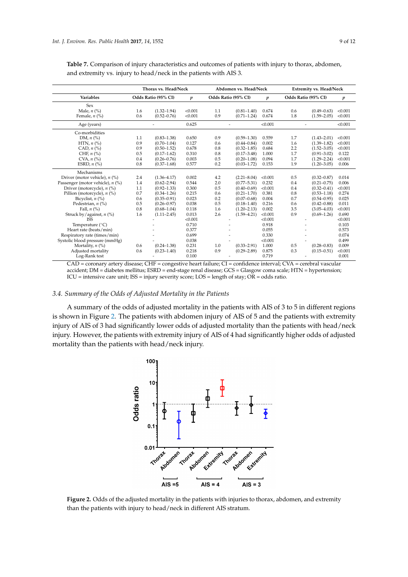|                                          |     | Thorax vs. Head/Neck |                  |     | Abdomen vs. Head/Neck |                  | <b>Extremity vs. Head/Neck</b> |                     |                  |  |
|------------------------------------------|-----|----------------------|------------------|-----|-----------------------|------------------|--------------------------------|---------------------|------------------|--|
| <b>Variables</b>                         |     | Odds Ratio (95% CI)  | $\boldsymbol{p}$ |     | Odds Ratio (95% CI)   | $\boldsymbol{p}$ |                                | Odds Ratio (95% CI) | $\boldsymbol{p}$ |  |
| Sex                                      |     |                      |                  |     |                       |                  |                                |                     |                  |  |
| Male, $n$ $\left(\% \right)$             | 1.6 | $(1.32 - 1.94)$      | < 0.001          | 1.1 | $(0.81 - 1.40)$       | 0.674            | 0.6                            | $(0.49 - 0.63)$     | < 0.001          |  |
| Female, $n$ $(\%)$                       | 0.6 | $(0.52 - 0.76)$      | < 0.001          | 0.9 | $(0.71 - 1.24)$       | 0.674            | 1.8                            | $(1.59 - 2.05)$     | < 0.001          |  |
| Age (years)                              |     |                      | 0.625            |     |                       | < 0.001          | $\overline{\phantom{a}}$       |                     | < 0.001          |  |
| Co-morbidities                           |     |                      |                  |     |                       |                  |                                |                     |                  |  |
| DM, $n$ $\left(\frac{\%}{\)}$            | 1.1 | $(0.83 - 1.38)$      | 0.650            | 0.9 | $(0.59 - 1.30)$       | 0.559            | 1.7                            | $(1.43 - 2.01)$     | < 0.001          |  |
| HTN, $n$ $\left(\% \right)$              | 0.9 | $(0.70 - 1.04)$      | 0.127            | 0.6 | $(0.44 - 0.84)$       | 0.002            | 1.6                            | $(1.39 - 1.82)$     | < 0.001          |  |
| $CAD, n (\%)$                            | 0.9 | $(0.50 - 1.52)$      | 0.678            | 0.8 | $(0.32 - 1.85)$       | 0.684            | 2.2                            | $(1.52 - 3.05)$     | < 0.001          |  |
| CHF, $n$ (%)                             | 0.5 | $(0.17 - 1.62)$      | 0.310            | 0.8 | $(0.17 - 3.48)$       | 1.000            | 1.7                            | $(0.91 - 3.02)$     | 0.122            |  |
| $CVA$ , $n$ $\left(\frac{\%}{\%}\right)$ | 0.4 | $(0.26 - 0.76)$      | 0.003            | 0.5 | $(0.20 - 1.08)$       | 0.094            | 1.7                            | $(1.29 - 2.24)$     | < 0.001          |  |
| ESRD, $n$ $\left(\% \right)$             | 0.8 | $(0.37 - 1.68)$      | 0.577            | 0.2 | $(0.03 - 1.72)$       | 0.153            | 1.9                            | $(1.20 - 3.05)$     | 0.006            |  |
| Mechanisms                               |     |                      |                  |     |                       |                  |                                |                     |                  |  |
| Driver (motor vehicle), $n$ (%)          | 2.4 | $(1.36 - 4.17)$      | 0.002            | 4.2 | $(2.21 - 8.04)$       | < 0.001          | 0.5                            | $(0.32 - 0.87)$     | 0.014            |  |
| Passenger (motor vehicle), n (%)         | 1.4 | $(0.62 - 2.94)$      | 0.544            | 2.0 | $(0.77 - 5.31)$       | 0.232            | 0.4                            | $(0.21 - 0.75)$     | 0.006            |  |
| Driver (motorcycle), $n$ (%)             | 1.1 | $(0.92 - 1.33)$      | 0.300            | 0.5 | $(0.40 - 0.69)$       | < 0.001          | 0.4                            | $(0.32 - 0.41)$     | < 0.001          |  |
| Pillion (motorcycle), n (%)              | 0.7 | $(0.34 - 1.26)$      | 0.215            | 0.6 | $(0.21 - 1.70)$       | 0.381            | 0.8                            | $(0.53 - 1.18)$     | 0.274            |  |
| Bicyclist, $n$ (%)                       | 0.6 | $(0.35 - 0.91)$      | 0.023            | 0.2 | $(0.07 - 0.68)$       | 0.004            | 0.7                            | $(0.54 - 0.95)$     | 0.025            |  |
| Pedestrian, $n$ (%)                      | 0.5 | $(0.26 - 0.97)$      | 0.038            | 0.5 | $(0.18 - 1.40)$       | 0.216            | 0.6                            | $(0.42 - 0.88)$     | 0.011            |  |
| Fall, $n$ (%)                            | 0.8 | $(0.68 - 1.04)$      | 0.118            | 1.6 | $(1.20 - 2.13)$       | 0.002            | 3.5                            | $(3.05 - 4.03)$     | < 0.001          |  |
| Struck by/against, $n$ (%)               | 1.6 | $(1.11 - 2.45)$      | 0.013            | 2.6 | $(1.59 - 4.21)$       | < 0.001          | 0.9                            | $(0.69 - 1.26)$     | 0.690            |  |
| <b>ISS</b>                               |     |                      | < 0.001          |     |                       | < 0.001          |                                |                     | < 0.001          |  |
| Temperature $(^{\circ}C)$                |     |                      | 0.710            |     |                       | 0.918            |                                |                     | 0.103            |  |
| Heart rate (beats/min)                   |     |                      | 0.377            |     |                       | 0.055            |                                |                     | 0.573            |  |
| Respiratory rate (times/min)             |     |                      | 0.699            |     |                       | 0.330            |                                |                     | 0.074            |  |
| Systolic blood pressure (mmHg)           |     |                      | 0.038            |     |                       | < 0.001          |                                |                     | 0.499            |  |
| Mortality, $n$ (%)                       | 0.6 | $(0.24 - 1.38)$      | 0.231            | 1.0 | $(0.33 - 2.91)$       | 1.000            | 0.5                            | $(0.28 - 0.83)$     | 0.009            |  |
| Adjusted mortality                       | 0.6 | $(0.23 - 1.40)$      | 0.218            | 0.9 | $(0.29 - 2.89)$       | 0.875            | 0.3                            | $(0.15 - 0.51)$     | < 0.001          |  |
| Log-Rank test                            |     |                      | 0.100            |     |                       | 0.719            |                                |                     | 0.001            |  |

<span id="page-8-0"></span>**Table 7.** Comparison of injury characteristics and outcomes of patients with injury to thorax, abdomen, and extremity vs. injury to head/neck in the patients with AIS 3.

CAD = coronary artery disease; CHF = congestive heart failure; CI = confidence interval; CVA = cerebral vascular<br>This study compared to the same AIS = compared the same AIS = confidence interval; CVA = cerebral vascular accident; DM = diabetes mellitus; ESRD = end-stage renal disease; GCS = Glasgow coma scale; HTN = hypertension;  $ICU =$  intensive care unit;  $ISS =$  injury severity score;  $LOS =$  length of stay;  $OR =$  odds ratio.

# 3.4. Summary of the Odds of Adjusted Mortality in the Patients

<span id="page-8-1"></span>A summary of the odds of adjusted mortality in the patients with AIS of 3 to 5 in different regions is shown in Figure [2.](#page-8-1) The patients with abdomen injury of AIS of 5 and the patients with extremity is shown in Figure 2. The patients with abdomen injury of AIS of 5 and the patients with extremity injury of AIS of 3 had significantly lower odds of adjusted mortality than the patients with head/neck injury of The of 8 had significantly fower odds of adjusted thordaity that the patients with heady needs<br>injury. However, the patients with extremity injury of AIS of 4 had significantly higher odds of adjusted myary. Trowever, the patients with extremity injury.



than the patients with injury to head/neck in different AIS stratum. **Figure 2.** Odds of the adjusted mortality in the patients with injuries to thorax, abdomen, and extremity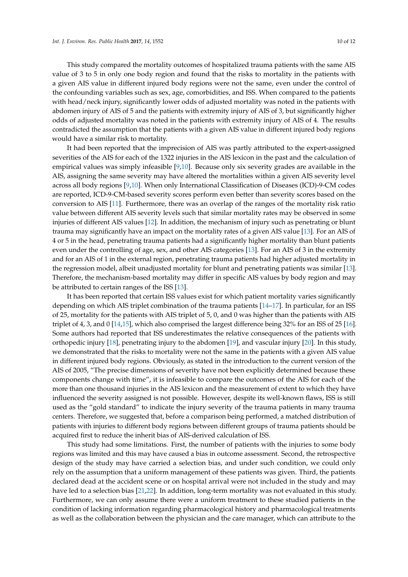This study compared the mortality outcomes of hospitalized trauma patients with the same AIS value of 3 to 5 in only one body region and found that the risks to mortality in the patients with a given AIS value in different injured body regions were not the same, even under the control of the confounding variables such as sex, age, comorbidities, and ISS. When compared to the patients with head/neck injury, significantly lower odds of adjusted mortality was noted in the patients with abdomen injury of AIS of 5 and the patients with extremity injury of AIS of 3, but significantly higher odds of adjusted mortality was noted in the patients with extremity injury of AIS of 4. The results contradicted the assumption that the patients with a given AIS value in different injured body regions would have a similar risk to mortality.

It had been reported that the imprecision of AIS was partly attributed to the expert-assigned severities of the AIS for each of the 1322 injuries in the AIS lexicon in the past and the calculation of empirical values was simply infeasible [\[9,](#page-10-8)[10\]](#page-10-9). Because only six severity grades are available in the AIS, assigning the same severity may have altered the mortalities within a given AIS severity level across all body regions [\[9,](#page-10-8)[10\]](#page-10-9). When only International Classification of Diseases (ICD)-9-CM codes are reported, ICD-9-CM-based severity scores perform even better than severity scores based on the conversion to AIS [\[11\]](#page-10-10). Furthermore, there was an overlap of the ranges of the mortality risk ratio value between different AIS severity levels such that similar mortality rates may be observed in some injuries of different AIS values [\[12\]](#page-10-11). In addition, the mechanism of injury such as penetrating or blunt trauma may significantly have an impact on the mortality rates of a given AIS value [\[13\]](#page-10-12). For an AIS of 4 or 5 in the head, penetrating trauma patients had a significantly higher mortality than blunt patients even under the controlling of age, sex, and other AIS categories [\[13\]](#page-10-12). For an AIS of 3 in the extremity and for an AIS of 1 in the external region, penetrating trauma patients had higher adjusted mortality in the regression model, albeit unadjusted mortality for blunt and penetrating patients was similar [\[13\]](#page-10-12). Therefore, the mechanism-based mortality may differ in specific AIS values by body region and may be attributed to certain ranges of the ISS [\[13\]](#page-10-12).

It has been reported that certain ISS values exist for which patient mortality varies significantly depending on which AIS triplet combination of the trauma patients [\[14](#page-10-13)[–17\]](#page-11-0). In particular, for an ISS of 25, mortality for the patients with AIS triplet of 5, 0, and 0 was higher than the patients with AIS triplet of 4, 3, and 0 [\[14](#page-10-13)[,15\]](#page-11-1), which also comprised the largest difference being 32% for an ISS of 25 [\[16\]](#page-11-2). Some authors had reported that ISS underestimates the relative consequences of the patients with orthopedic injury [\[18\]](#page-11-3), penetrating injury to the abdomen [\[19\]](#page-11-4), and vascular injury [\[20\]](#page-11-5). In this study, we demonstrated that the risks to mortality were not the same in the patients with a given AIS value in different injured body regions. Obviously, as stated in the introduction to the current version of the AIS of 2005, "The precise dimensions of severity have not been explicitly determined because these components change with time", it is infeasible to compare the outcomes of the AIS for each of the more than one thousand injuries in the AIS lexicon and the measurement of extent to which they have influenced the severity assigned is not possible. However, despite its well-known flaws, ISS is still used as the "gold standard" to indicate the injury severity of the trauma patients in many trauma centers. Therefore, we suggested that, before a comparison being performed, a matched distribution of patients with injuries to different body regions between different groups of trauma patients should be acquired first to reduce the inherit bias of AIS-derived calculation of ISS.

This study had some limitations. First, the number of patients with the injuries to some body regions was limited and this may have caused a bias in outcome assessment. Second, the retrospective design of the study may have carried a selection bias, and under such condition, we could only rely on the assumption that a uniform management of these patients was given. Third, the patients declared dead at the accident scene or on hospital arrival were not included in the study and may have led to a selection bias [\[21](#page-11-6)[,22\]](#page-11-7). In addition, long-term mortality was not evaluated in this study. Furthermore, we can only assume there were a uniform treatment to these studied patients in the condition of lacking information regarding pharmacological history and pharmacological treatments as well as the collaboration between the physician and the care manager, which can attribute to the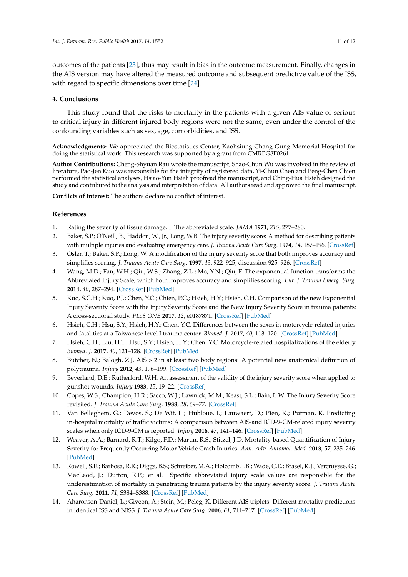outcomes of the patients [\[23\]](#page-11-8), thus may result in bias in the outcome measurement. Finally, changes in the AIS version may have altered the measured outcome and subsequent predictive value of the ISS, with regard to specific dimensions over time [\[24\]](#page-11-9).

## **4. Conclusions**

This study found that the risks to mortality in the patients with a given AIS value of serious to critical injury in different injured body regions were not the same, even under the control of the confounding variables such as sex, age, comorbidities, and ISS.

**Acknowledgments:** We appreciated the Biostatistics Center, Kaohsiung Chang Gung Memorial Hospital for doing the statistical work. This research was supported by a grant from CMRPG8F0261.

**Author Contributions:** Cheng-Shyuan Rau wrote the manuscript, Shao-Chun Wu was involved in the review of literature, Pao-Jen Kuo was responsible for the integrity of registered data, Yi-Chun Chen and Peng-Chen Chien performed the statistical analyses, Hsiao-Yun Hsieh proofread the manuscript, and Ching-Hua Hsieh designed the study and contributed to the analysis and interpretation of data. All authors read and approved the final manuscript.

**Conflicts of Interest:** The authors declare no conflict of interest.

# **References**

- <span id="page-10-0"></span>1. Rating the severity of tissue damage. I. The abbreviated scale. *JAMA* **1971**, *215*, 277–280.
- <span id="page-10-1"></span>2. Baker, S.P.; O'Neill, B.; Haddon, W., Jr.; Long, W.B. The injury severity score: A method for describing patients with multiple injuries and evaluating emergency care. *J. Trauma Acute Care Surg.* **1974**, *14*, 187–196. [\[CrossRef\]](http://dx.doi.org/10.1097/00005373-197403000-00001)
- <span id="page-10-2"></span>3. Osler, T.; Baker, S.P.; Long, W. A modification of the injury severity score that both improves accuracy and simplifies scoring. *J. Trauma Acute Care Surg.* **1997**, *43*, 922–925, discussion 925–926. [\[CrossRef\]](http://dx.doi.org/10.1097/00005373-199712000-00009)
- <span id="page-10-3"></span>4. Wang, M.D.; Fan, W.H.; Qiu, W.S.; Zhang, Z.L.; Mo, Y.N.; Qiu, F. The exponential function transforms the Abbreviated Injury Scale, which both improves accuracy and simplifies scoring. *Eur. J. Trauma Emerg. Surg.* **2014**, *40*, 287–294. [\[CrossRef\]](http://dx.doi.org/10.1007/s00068-013-0331-1) [\[PubMed\]](http://www.ncbi.nlm.nih.gov/pubmed/26816062)
- <span id="page-10-4"></span>5. Kuo, S.C.H.; Kuo, P.J.; Chen, Y.C.; Chien, P.C.; Hsieh, H.Y.; Hsieh, C.H. Comparison of the new Exponential Injury Severity Score with the Injury Severity Score and the New Injury Severity Score in trauma patients: A cross-sectional study. *PLoS ONE* **2017**, *12*, e0187871. [\[CrossRef\]](http://dx.doi.org/10.1371/journal.pone.0187871) [\[PubMed\]](http://www.ncbi.nlm.nih.gov/pubmed/29121653)
- <span id="page-10-5"></span>6. Hsieh, C.H.; Hsu, S.Y.; Hsieh, H.Y.; Chen, Y.C. Differences between the sexes in motorcycle-related injuries and fatalities at a Taiwanese level I trauma center. *Biomed. J.* **2017**, *40*, 113–120. [\[CrossRef\]](http://dx.doi.org/10.1016/j.bj.2016.10.005) [\[PubMed\]](http://www.ncbi.nlm.nih.gov/pubmed/28521902)
- <span id="page-10-6"></span>7. Hsieh, C.H.; Liu, H.T.; Hsu, S.Y.; Hsieh, H.Y.; Chen, Y.C. Motorcycle-related hospitalizations of the elderly. *Biomed. J.* **2017**, *40*, 121–128. [\[CrossRef\]](http://dx.doi.org/10.1016/j.bj.2016.10.006) [\[PubMed\]](http://www.ncbi.nlm.nih.gov/pubmed/28521903)
- <span id="page-10-7"></span>8. Butcher, N.; Balogh, Z.J. AIS > 2 in at least two body regions: A potential new anatomical definition of polytrauma. *Injury* **2012**, *43*, 196–199. [\[CrossRef\]](http://dx.doi.org/10.1016/j.injury.2011.06.029) [\[PubMed\]](http://www.ncbi.nlm.nih.gov/pubmed/21741649)
- <span id="page-10-8"></span>9. Beverland, D.E.; Rutherford, W.H. An assessment of the validity of the injury severity score when applied to gunshot wounds. *Injury* **1983**, *15*, 19–22. [\[CrossRef\]](http://dx.doi.org/10.1016/0020-1383(83)90156-0)
- <span id="page-10-9"></span>10. Copes, W.S.; Champion, H.R.; Sacco, W.J.; Lawnick, M.M.; Keast, S.L.; Bain, L.W. The Injury Severity Score revisited. *J. Trauma Acute Care Surg.* **1988**, *28*, 69–77. [\[CrossRef\]](http://dx.doi.org/10.1097/00005373-198801000-00010)
- <span id="page-10-10"></span>11. Van Belleghem, G.; Devos, S.; De Wit, L.; Hubloue, I.; Lauwaert, D.; Pien, K.; Putman, K. Predicting in-hospital mortality of traffic victims: A comparison between AIS-and ICD-9-CM-related injury severity scales when only ICD-9-CM is reported. *Injury* **2016**, *47*, 141–146. [\[CrossRef\]](http://dx.doi.org/10.1016/j.injury.2015.08.025) [\[PubMed\]](http://www.ncbi.nlm.nih.gov/pubmed/26429105)
- <span id="page-10-11"></span>12. Weaver, A.A.; Barnard, R.T.; Kilgo, P.D.; Martin, R.S.; Stitzel, J.D. Mortality-based Quantification of Injury Severity for Frequently Occurring Motor Vehicle Crash Injuries. *Ann. Adv. Automot. Med.* **2013**, *57*, 235–246. [\[PubMed\]](http://www.ncbi.nlm.nih.gov/pubmed/24406961)
- <span id="page-10-12"></span>13. Rowell, S.E.; Barbosa, R.R.; Diggs, B.S.; Schreiber, M.A.; Holcomb, J.B.; Wade, C.E.; Brasel, K.J.; Vercruysse, G.; MacLeod, J.; Dutton, R.P.; et al. Specific abbreviated injury scale values are responsible for the underestimation of mortality in penetrating trauma patients by the injury severity score. *J. Trauma Acute Care Surg.* **2011**, *71*, S384–S388. [\[CrossRef\]](http://dx.doi.org/10.1097/TA.0b013e3182287c8d) [\[PubMed\]](http://www.ncbi.nlm.nih.gov/pubmed/21814109)
- <span id="page-10-13"></span>14. Aharonson-Daniel, L.; Giveon, A.; Stein, M.; Peleg, K. Different AIS triplets: Different mortality predictions in identical ISS and NISS. *J. Trauma Acute Care Surg.* **2006**, *61*, 711–717. [\[CrossRef\]](http://dx.doi.org/10.1097/01.ta.0000235294.32326.e6) [\[PubMed\]](http://www.ncbi.nlm.nih.gov/pubmed/16967012)